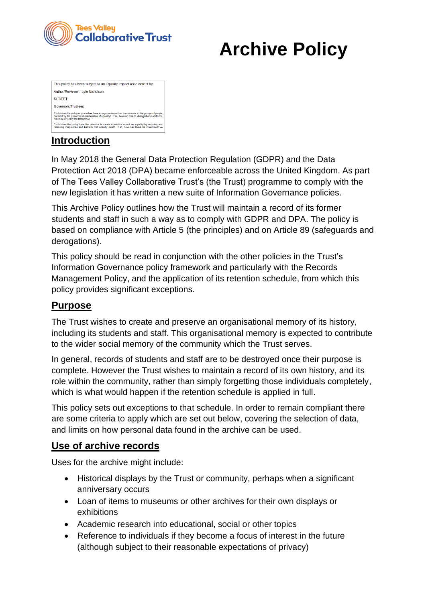

# **Archive Policy**

| This policy has been subject to an Equality Impact Assessment by:                                                                                                                                                                             |
|-----------------------------------------------------------------------------------------------------------------------------------------------------------------------------------------------------------------------------------------------|
| Author/Reviewer: Lyle Nicholson                                                                                                                                                                                                               |
| SLIT/FFT:                                                                                                                                                                                                                                     |
| Governors/Trustees:                                                                                                                                                                                                                           |
| Could/does the policy or procedure have a negative impact on one or more of the groups of people<br>covered by the protected characteristics of equality? If so, how can this be changed or modified to<br>minimise or justify the impact? no |
| Could/does the policy have the potential to create a positive impact on equality by reducing and<br>removing inequalities and barriers that already exist? If so, how can these be maximised? no                                              |

# **Introduction**

In May 2018 the General Data Protection Regulation (GDPR) and the Data Protection Act 2018 (DPA) became enforceable across the United Kingdom. As part of The Tees Valley Collaborative Trust's (the Trust) programme to comply with the new legislation it has written a new suite of Information Governance policies.

This Archive Policy outlines how the Trust will maintain a record of its former students and staff in such a way as to comply with GDPR and DPA. The policy is based on compliance with Article 5 (the principles) and on Article 89 (safeguards and derogations).

This policy should be read in conjunction with the other policies in the Trust's Information Governance policy framework and particularly with the Records Management Policy, and the application of its retention schedule, from which this policy provides significant exceptions.

#### **Purpose**

The Trust wishes to create and preserve an organisational memory of its history, including its students and staff. This organisational memory is expected to contribute to the wider social memory of the community which the Trust serves.

In general, records of students and staff are to be destroyed once their purpose is complete. However the Trust wishes to maintain a record of its own history, and its role within the community, rather than simply forgetting those individuals completely, which is what would happen if the retention schedule is applied in full.

This policy sets out exceptions to that schedule. In order to remain compliant there are some criteria to apply which are set out below, covering the selection of data, and limits on how personal data found in the archive can be used.

#### **Use of archive records**

Uses for the archive might include:

- Historical displays by the Trust or community, perhaps when a significant anniversary occurs
- Loan of items to museums or other archives for their own displays or exhibitions
- Academic research into educational, social or other topics
- Reference to individuals if they become a focus of interest in the future (although subject to their reasonable expectations of privacy)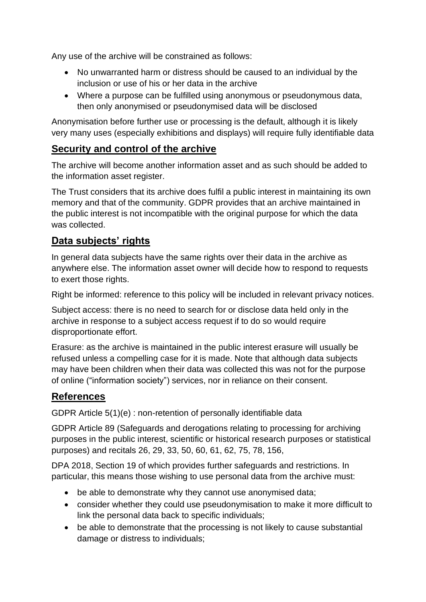Any use of the archive will be constrained as follows:

- No unwarranted harm or distress should be caused to an individual by the inclusion or use of his or her data in the archive
- Where a purpose can be fulfilled using anonymous or pseudonymous data, then only anonymised or pseudonymised data will be disclosed

Anonymisation before further use or processing is the default, although it is likely very many uses (especially exhibitions and displays) will require fully identifiable data

#### **Security and control of the archive**

The archive will become another information asset and as such should be added to the information asset register.

The Trust considers that its archive does fulfil a public interest in maintaining its own memory and that of the community. GDPR provides that an archive maintained in the public interest is not incompatible with the original purpose for which the data was collected.

## **Data subjects' rights**

In general data subjects have the same rights over their data in the archive as anywhere else. The information asset owner will decide how to respond to requests to exert those rights.

Right be informed: reference to this policy will be included in relevant privacy notices.

Subject access: there is no need to search for or disclose data held only in the archive in response to a subject access request if to do so would require disproportionate effort.

Erasure: as the archive is maintained in the public interest erasure will usually be refused unless a compelling case for it is made. Note that although data subjects may have been children when their data was collected this was not for the purpose of online ("information society") services, nor in reliance on their consent.

## **References**

GDPR Article 5(1)(e) : non-retention of personally identifiable data

GDPR Article 89 (Safeguards and derogations relating to processing for archiving purposes in the public interest, scientific or historical research purposes or statistical purposes) and recitals 26, 29, 33, 50, 60, 61, 62, 75, 78, 156,

DPA 2018, Section 19 of which provides further safeguards and restrictions. In particular, this means those wishing to use personal data from the archive must:

- be able to demonstrate why they cannot use anonymised data;
- consider whether they could use pseudonymisation to make it more difficult to link the personal data back to specific individuals;
- be able to demonstrate that the processing is not likely to cause substantial damage or distress to individuals;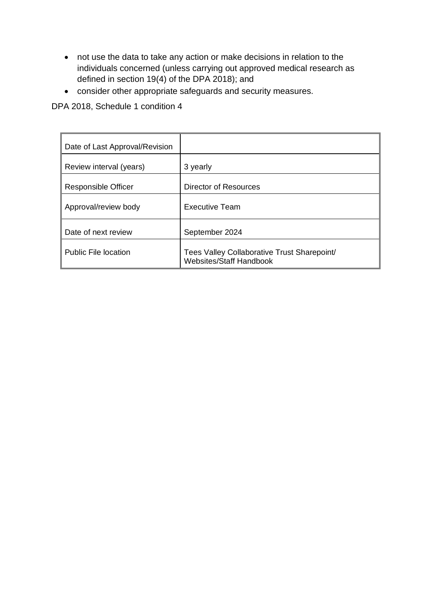- not use the data to take any action or make decisions in relation to the individuals concerned (unless carrying out approved medical research as defined in section 19(4) of the DPA 2018); and
- consider other appropriate safeguards and security measures.

DPA 2018, Schedule 1 condition 4

| Date of Last Approval/Revision |                                                                               |
|--------------------------------|-------------------------------------------------------------------------------|
| Review interval (years)        | 3 yearly                                                                      |
| <b>Responsible Officer</b>     | Director of Resources                                                         |
| Approval/review body           | <b>Executive Team</b>                                                         |
| Date of next review            | September 2024                                                                |
| <b>Public File location</b>    | Tees Valley Collaborative Trust Sharepoint/<br><b>Websites/Staff Handbook</b> |